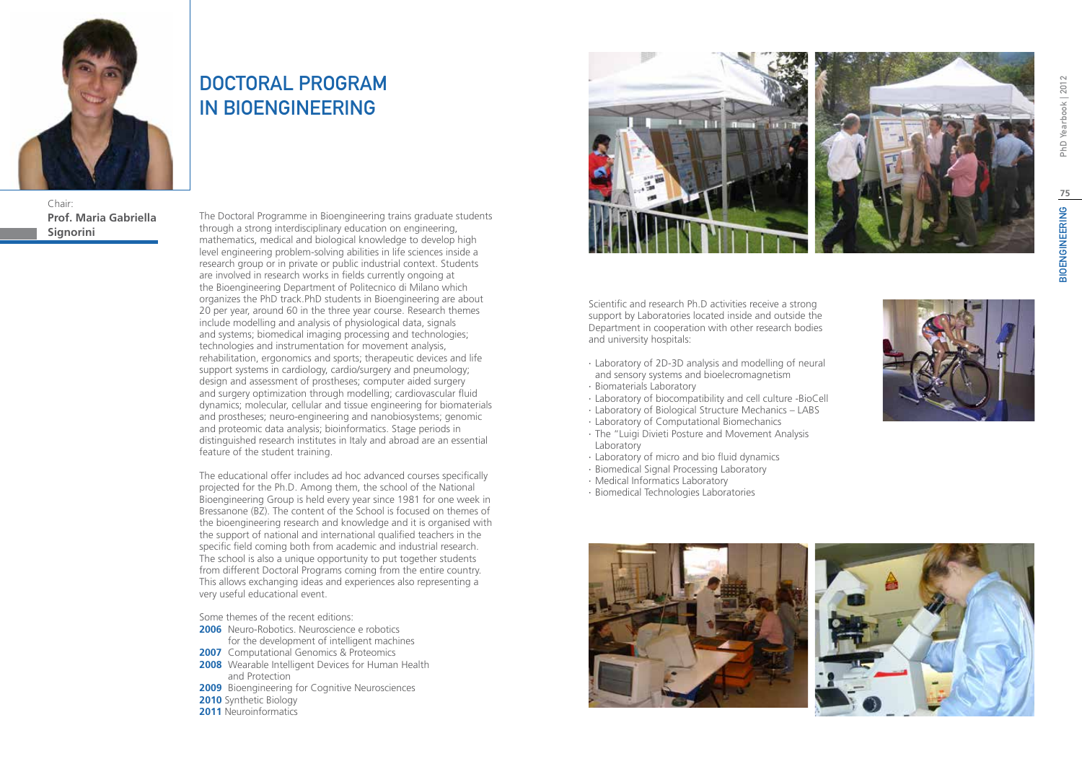

Chair: **Prof. Maria Gabriella Signorini**

## DOCTORAL PROGRAM IN BIOENGINEERING

The Doctoral Programme in Bioengineering trains graduate students through a strong interdisciplinary education on engineering, mathematics, medical and biological knowledge to develop high level engineering problem-solving abilities in life sciences inside a research group or in private or public industrial context. Students are involved in research works in fields currently ongoing at the Bioengineering Department of Politecnico di Milano which organizes the PhD track.PhD students in Bioengineering are about 20 per year, around 60 in the three year course. Research themes include modelling and analysis of physiological data, signals and systems; biomedical imaging processing and technologies; technologies and instrumentation for movement analysis, rehabilitation, ergonomics and sports; therapeutic devices and life support systems in cardiology, cardio/surgery and pneumology; design and assessment of prostheses; computer aided surgery and surgery optimization through modelling; cardiovascular fluid dynamics; molecular, cellular and tissue engineering for biomaterials and prostheses; neuro-engineering and nanobiosystems; genomic and proteomic data analysis; bioinformatics. Stage periods in distinguished research institutes in Italy and abroad are an essential feature of the student training.

The educational offer includes ad hoc advanced courses specifically projected for the Ph.D. Among them, the school of the National Bioengineering Group is held every year since 1981 for one week in Bressanone (BZ). The content of the School is focused on themes of the bioengineering research and knowledge and it is organised with the support of national and international qualified teachers in the specific field coming both from academic and industrial research. The school is also a unique opportunity to put together students from different Doctoral Programs coming from the entire country. This allows exchanging ideas and experiences also representing a very useful educational event.

Some themes of the recent editions:

- **2006** Neuro-Robotics. Neuroscience e robotics for the development of intelligent machines
- **2007** Computational Genomics & Proteomics
- **2008** Wearable Intelligent Devices for Human Health and Protection
- **2009** Bioengineering for Cognitive Neurosciences
- **2010** Synthetic Biology
- **2011** Neuroinformatics



Scientific and research Ph.D activities receive a strong support by Laboratories located inside and outside the Department in cooperation with other research bodies and university hospitals:

- ∙ Laboratory of 2D-3D analysis and modelling of neural and sensory systems and bioelecromagnetism
- ∙ Biomaterials Laboratory
- ∙ Laboratory of biocompatibility and cell culture -BioCell
- ∙ Laboratory of Biological Structure Mechanics LABS
- ∙ Laboratory of Computational Biomechanics
- ∙ The "Luigi Divieti Posture and Movement Analysis Laboratory
- ∙ Laboratory of micro and bio fluid dynamics
- ∙ Biomedical Signal Processing Laboratory
- ∙ Medical Informatics Laboratory
- ∙ Biomedical Technologies Laboratories





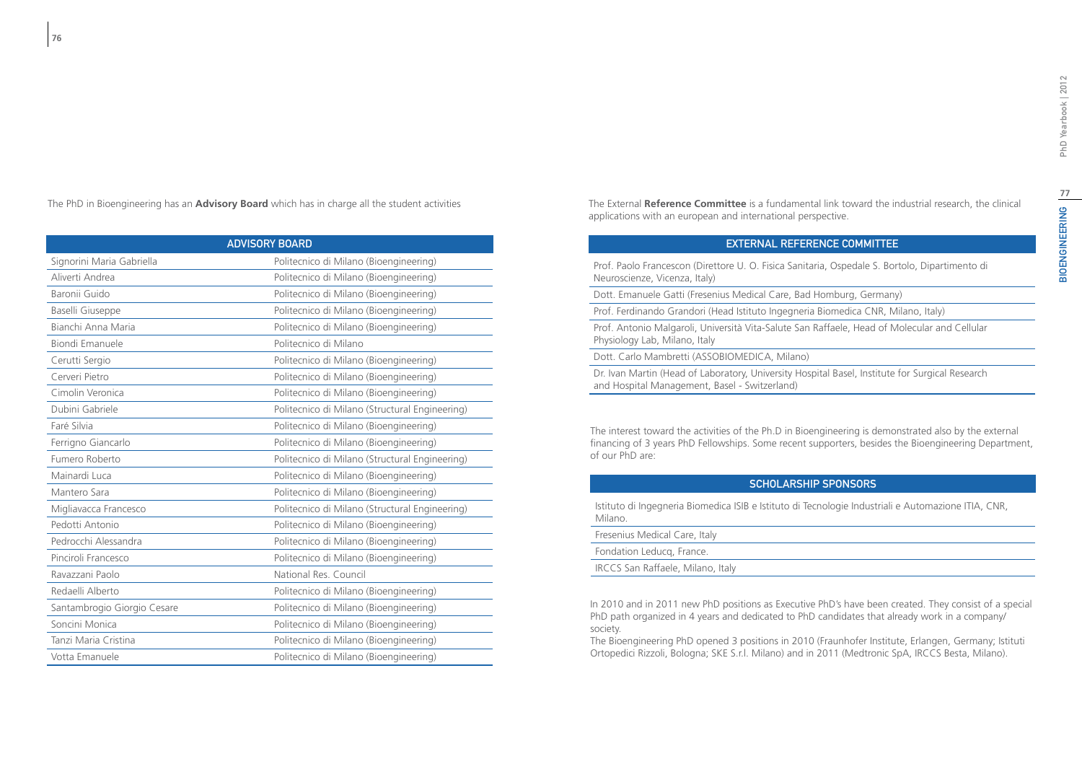The PhD in Bioengineering has an **Advisory Board** which has in charge all the student activities

| <b>ADVISORY BOARD</b>       |                                                |
|-----------------------------|------------------------------------------------|
| Signorini Maria Gabriella   | Politecnico di Milano (Bioengineering)         |
| Aliverti Andrea             | Politecnico di Milano (Bioengineering)         |
| Baronii Guido               | Politecnico di Milano (Bioengineering)         |
| Baselli Giuseppe            | Politecnico di Milano (Bioengineering)         |
| Bianchi Anna Maria          | Politecnico di Milano (Bioengineering)         |
| Biondi Emanuele             | Politecnico di Milano                          |
| Cerutti Sergio              | Politecnico di Milano (Bioengineering)         |
| Cerveri Pietro              | Politecnico di Milano (Bioengineering)         |
| Cimolin Veronica            | Politecnico di Milano (Bioengineering)         |
| Dubini Gabriele             | Politecnico di Milano (Structural Engineering) |
| Faré Silvia                 | Politecnico di Milano (Bioengineering)         |
| Ferrigno Giancarlo          | Politecnico di Milano (Bioengineering)         |
| Fumero Roberto              | Politecnico di Milano (Structural Engineering) |
| Mainardi Luca               | Politecnico di Milano (Bioengineering)         |
| Mantero Sara                | Politecnico di Milano (Bioengineering)         |
| Migliavacca Francesco       | Politecnico di Milano (Structural Engineering) |
| Pedotti Antonio             | Politecnico di Milano (Bioengineering)         |
| Pedrocchi Alessandra        | Politecnico di Milano (Bioengineering)         |
| Pinciroli Francesco         | Politecnico di Milano (Bioengineering)         |
| Ravazzani Paolo             | National Res. Council                          |
| Redaelli Alberto            | Politecnico di Milano (Bioengineering)         |
| Santambrogio Giorgio Cesare | Politecnico di Milano (Bioengineering)         |
| Soncini Monica              | Politecnico di Milano (Bioengineering)         |
| Tanzi Maria Cristina        | Politecnico di Milano (Bioengineering)         |
| Votta Emanuele              | Politecnico di Milano (Bioengineering)         |

The External **Reference Committee** is a fundamental link toward the industrial research, the clinical applications with an european and international perspective.

### External Reference Committee

Prof. Paolo Francescon (Direttore U. O. Fisica Sanitaria, Ospedale S. Bortolo, Dipartimento di Neuroscienze, Vicenza, Italy)

Dott. Emanuele Gatti (Fresenius Medical Care, Bad Homburg, Germany)

Prof. Ferdinando Grandori (Head Istituto Ingegneria Biomedica CNR, Milano, Italy)

Prof. Antonio Malgaroli, Università Vita-Salute San Raffaele, Head of Molecular and Cellular Physiology Lab, Milano, Italy

Dott. Carlo Mambretti (ASSOBIOMEDICA, Milano)

Dr. Ivan Martin (Head of Laboratory, University Hospital Basel, Institute for Surgical Research and Hospital Management, Basel - Switzerland)

The interest toward the activities of the Ph.D in Bioengineering is demonstrated also by the external financing of 3 years PhD Fellowships. Some recent supporters, besides the Bioengineering Department, of our PhD are:

### Scholarship Sponsors

Istituto di Ingegneria Biomedica ISIB e Istituto di Tecnologie Industriali e Automazione ITIA, CNR, Milano.

Fresenius Medical Care, Italy Fondation Leducq, France. IRCCS San Raffaele, Milano, Italy

In 2010 and in 2011 new PhD positions as Executive PhD's have been created. They consist of a special PhD path organized in 4 years and dedicated to PhD candidates that already work in a company/ society.

The Bioengineering PhD opened 3 positions in 2010 (Fraunhofer Institute, Erlangen, Germany; Istituti Ortopedici Rizzoli, Bologna; SKE S.r.l. Milano) and in 2011 (Medtronic SpA, IRCCS Besta, Milano).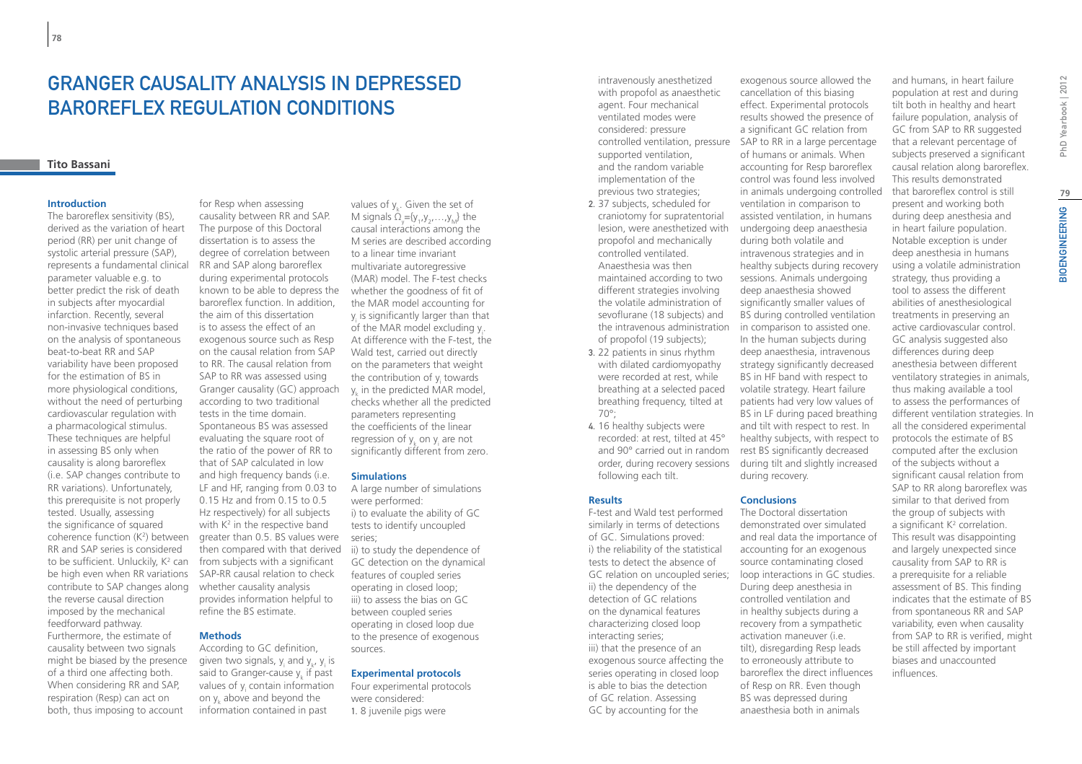## Granger Causality Analysis in Depressed Baroreflex Regulation Conditions

### **Tito Bassani**

#### **Introduction**

The baroreflex sensitivity (BS), derived as the variation of heart period (RR) per unit change of systolic arterial pressure (SAP), represents a fundamental clinical parameter valuable e.g. to better predict the risk of death in subjects after myocardial infarction. Recently, several non-invasive techniques based on the analysis of spontaneous beat-to-beat RR and SAP variability have been proposed for the estimation of BS in more physiological conditions, without the need of perturbing cardiovascular regulation with a pharmacological stimulus. These techniques are helpful in assessing BS only when causality is along baroreflex (i.e. SAP changes contribute to RR variations). Unfortunately, this prerequisite is not properly tested. Usually, assessing the significance of squared coherence function (K2 ) between RR and SAP series is considered to be sufficient. Unluckily, K<sup>2</sup> can be high even when RR variations contribute to SAP changes along the reverse causal direction imposed by the mechanical feedforward pathway. Furthermore, the estimate of causality between two signals might be biased by the presence of a third one affecting both. When considering RR and SAP, respiration (Resp) can act on both, thus imposing to account

for Resp when assessing causality between RR and SAP. The purpose of this Doctoral dissertation is to assess the degree of correlation between RR and SAP along baroreflex during experimental protocols known to be able to depress the baroreflex function. In addition, the aim of this dissertation is to assess the effect of an exogenous source such as Resp on the causal relation from SAP to RR. The causal relation from SAP to RR was assessed using Granger causality (GC) approach according to two traditional tests in the time domain. Spontaneous BS was assessed evaluating the square root of the ratio of the power of RR to that of SAP calculated in low and high frequency bands (i.e. LF and HF, ranging from 0.03 to 0.15 Hz and from 0.15 to 0.5 Hz respectively) for all subjects with  $K^2$  in the respective band greater than 0.5. BS values were then compared with that derived from subjects with a significant SAP-RR causal relation to check whether causality analysis provides information helpful to refine the BS estimate.

### **Methods**

According to GC definition, given two signals,  $y_i$  and  $y_k$ ,  $y_i$  is said to Granger-cause  $y_k$  if past values of y<sub>i</sub> contain information on  $y_k$  above and beyond the information contained in past

values of  $y_k$ . Given the set of M signals  $\Omega_{y} = \{y_1, y_2, \ldots, y_M\}$  the causal interactions among the M series are described according to a linear time invariant multivariate autoregressive (MAR) model. The F-test checks whether the goodness of fit of the MAR model accounting for  $y_i$  is significantly larger than that of the MAR model excluding  $y_{i}$ . At difference with the F-test, the Wald test, carried out directly on the parameters that weight the contribution of y<sub>i</sub> towards  $y_{k}$  in the predicted MAR model, checks whether all the predicted parameters representing the coefficients of the linear regression of  $y_{k}$  on  $y_{i}$  are not significantly different from zero.

#### **Simulations**

A large number of simulations were performed: i) to evaluate the ability of GC tests to identify uncoupled series;

ii) to study the dependence of GC detection on the dynamical features of coupled series operating in closed loop; iii) to assess the bias on GC between coupled series operating in closed loop due to the presence of exogenous sources.

#### **Experimental protocols**

Four experimental protocols were considered: 1. 8 juvenile pigs were

intravenously anesthetized with propofol as anaesthetic agent. Four mechanical ventilated modes were considered: pressure controlled ventilation, pressure supported ventilation, and the random variable implementation of the previous two strategies;

- 2. 37 subjects, scheduled for craniotomy for supratentorial lesion, were anesthetized with propofol and mechanically controlled ventilated. Anaesthesia was then maintained according to two different strategies involving the volatile administration of sevoflurane (18 subjects) and the intravenous administration of propofol (19 subjects);
- 3. 22 patients in sinus rhythm with dilated cardiomyopathy were recorded at rest, while breathing at a selected paced breathing frequency, tilted at 70°;
- 4. 16 healthy subjects were recorded: at rest, tilted at 45° and 90° carried out in random order, during recovery sessions following each tilt.

#### **Results**

GC relation on uncoupled series; loop interactions in GC studies. F-test and Wald test performed similarly in terms of detections of GC. Simulations proved: i) the reliability of the statistical tests to detect the absence of ii) the dependency of the detection of GC relations on the dynamical features characterizing closed loop interacting series; iii) that the presence of an exogenous source affecting the series operating in closed loop is able to bias the detection of GC relation. Assessing GC by accounting for the

exogenous source allowed the cancellation of this biasing effect. Experimental protocols results showed the presence of a significant GC relation from SAP to RR in a large percentage of humans or animals. When accounting for Resp baroreflex control was found less involved in animals undergoing controlled ventilation in comparison to assisted ventilation, in humans undergoing deep anaesthesia during both volatile and intravenous strategies and in healthy subjects during recovery sessions. Animals undergoing deep anaesthesia showed significantly smaller values of BS during controlled ventilation in comparison to assisted one. In the human subjects during deep anaesthesia, intravenous strategy significantly decreased BS in HF band with respect to volatile strategy. Heart failure patients had very low values of BS in LF during paced breathing and tilt with respect to rest. In healthy subjects, with respect to rest BS significantly decreased during tilt and slightly increased

#### **Conclusions**

during recovery.

The Doctoral dissertation demonstrated over simulated and real data the importance of accounting for an exogenous source contaminating closed During deep anesthesia in controlled ventilation and in healthy subjects during a recovery from a sympathetic activation maneuver (i.e. tilt), disregarding Resp leads to erroneously attribute to baroreflex the direct influences of Resp on RR. Even though BS was depressed during anaesthesia both in animals

population at rest and during tilt both in healthy and heart failure population, analysis of GC from SAP to RR suggested that a relevant percentage of subjects preserved a significant causal relation along baroreflex. This results demonstrated that baroreflex control is still present and working both during deep anesthesia and in heart failure population. Notable exception is under deep anesthesia in humans using a volatile administration strategy, thus providing a tool to assess the different abilities of anesthesiological treatments in preserving an active cardiovascular control. GC analysis suggested also differences during deep anesthesia between different ventilatory strategies in animals, thus making available a tool to assess the performances of different ventilation strategies. In all the considered experimental protocols the estimate of BS computed after the exclusion of the subjects without a significant causal relation from SAP to RR along baroreflex was similar to that derived from the group of subjects with a significant  $K^2$  correlation. This result was disappointing and largely unexpected since causality from SAP to RR is a prerequisite for a reliable assessment of BS. This finding indicates that the estimate of BS from spontaneous RR and SAP variability, even when causality from SAP to RR is verified, might be still affected by important biases and unaccounted influences.

and humans, in heart failure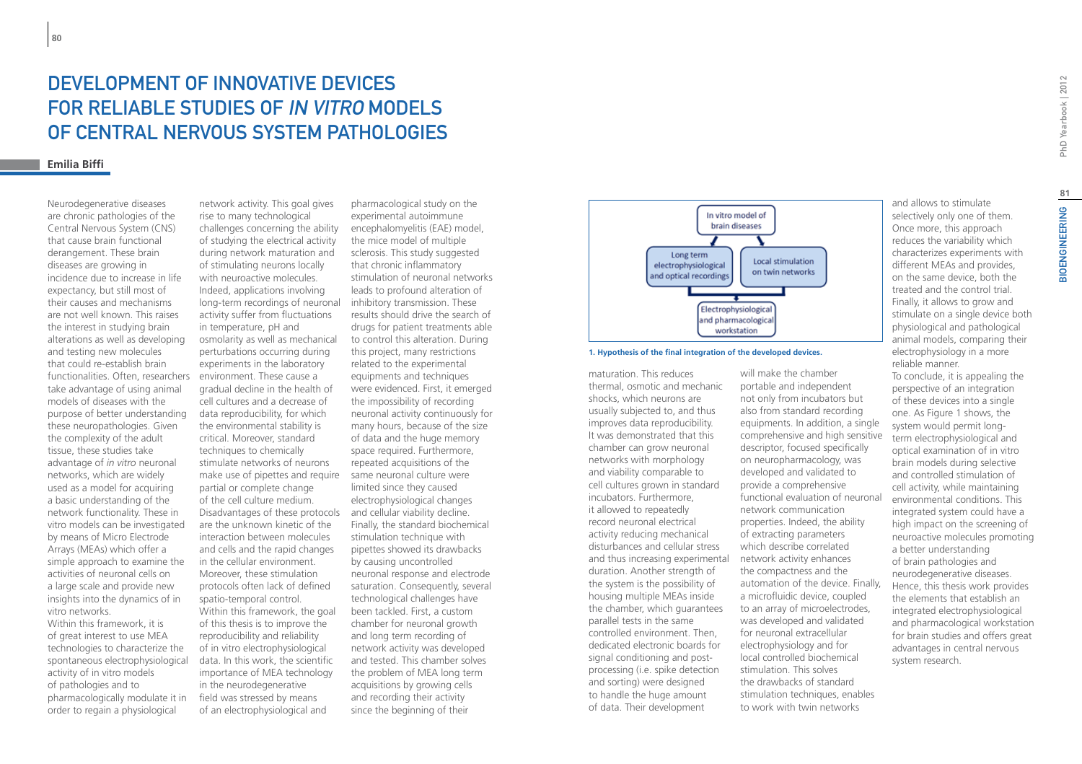# DEVELOPMENT OF INNOVATIVE DEVICES for reliable studies of in vitro models of Central Nervous System pathologies

#### **Emilia Biffi**

Neurodegenerative diseases are chronic pathologies of the Central Nervous System (CNS) that cause brain functional derangement. These brain diseases are growing in incidence due to increase in life expectancy, but still most of their causes and mechanisms are not well known. This raises the interest in studying brain alterations as well as developing and testing new molecules that could re-establish brain functionalities. Often, researchers take advantage of using animal models of diseases with the purpose of better understanding these neuropathologies. Given the complexity of the adult tissue, these studies take advantage of *in vitro* neuronal networks, which are widely used as a model for acquiring a basic understanding of the network functionality. These in vitro models can be investigated by means of Micro Electrode Arrays (MEAs) which offer a simple approach to examine the activities of neuronal cells on a large scale and provide new insights into the dynamics of in vitro networks.

Within this framework, it is of great interest to use MEA technologies to characterize the spontaneous electrophysiological activity of in vitro models of pathologies and to pharmacologically modulate it in order to regain a physiological

network activity. This goal gives rise to many technological challenges concerning the ability of studying the electrical activity during network maturation and of stimulating neurons locally with neuroactive molecules. Indeed, applications involving long-term recordings of neuronal activity suffer from fluctuations in temperature, pH and osmolarity as well as mechanical perturbations occurring during experiments in the laboratory environment. These cause a gradual decline in the health of cell cultures and a decrease of data reproducibility, for which the environmental stability is critical. Moreover, standard techniques to chemically stimulate networks of neurons make use of pipettes and require same neuronal culture were partial or complete change of the cell culture medium. Disadvantages of these protocols are the unknown kinetic of the interaction between molecules and cells and the rapid changes in the cellular environment. Moreover, these stimulation protocols often lack of defined spatio-temporal control. Within this framework, the goal of this thesis is to improve the reproducibility and reliability of in vitro electrophysiological data. In this work, the scientific importance of MEA technology in the neurodegenerative field was stressed by means of an electrophysiological and

pharmacological study on the experimental autoimmune encephalomyelitis (EAE) model, the mice model of multiple sclerosis. This study suggested that chronic inflammatory stimulation of neuronal networks leads to profound alteration of inhibitory transmission. These results should drive the search of drugs for patient treatments able to control this alteration. During this project, many restrictions related to the experimental equipments and techniques were evidenced. First, it emerged the impossibility of recording neuronal activity continuously for many hours, because of the size of data and the huge memory space required. Furthermore, repeated acquisitions of the limited since they caused electrophysiological changes and cellular viability decline. Finally, the standard biochemical stimulation technique with pipettes showed its drawbacks by causing uncontrolled neuronal response and electrode saturation. Consequently, several technological challenges have been tackled. First, a custom chamber for neuronal growth and long term recording of network activity was developed and tested. This chamber solves the problem of MEA long term acquisitions by growing cells and recording their activity since the beginning of their



#### **1. Hypothesis of the final integration of the developed devices.**

maturation. This reduces thermal, osmotic and mechanic shocks, which neurons are usually subjected to, and thus improves data reproducibility. It was demonstrated that this chamber can grow neuronal networks with morphology and viability comparable to cell cultures grown in standard incubators. Furthermore, it allowed to repeatedly record neuronal electrical activity reducing mechanical disturbances and cellular stress and thus increasing experimental duration. Another strength of the system is the possibility of housing multiple MEAs inside the chamber, which guarantees parallel tests in the same controlled environment. Then, dedicated electronic boards for signal conditioning and postprocessing (i.e. spike detection and sorting) were designed to handle the huge amount of data. Their development

will make the chamber portable and independent not only from incubators but also from standard recording equipments. In addition, a single comprehensive and high sensitive descriptor, focused specifically on neuropharmacology, was developed and validated to provide a comprehensive functional evaluation of neuronal network communication properties. Indeed, the ability of extracting parameters which describe correlated network activity enhances the compactness and the automation of the device. Finally, a microfluidic device, coupled to an array of microelectrodes, was developed and validated for neuronal extracellular electrophysiology and for local controlled biochemical stimulation. This solves the drawbacks of standard stimulation techniques, enables to work with twin networks

and allows to stimulate selectively only one of them. Once more, this approach reduces the variability which characterizes experiments with different MEAs and provides, on the same device, both the treated and the control trial. Finally, it allows to grow and stimulate on a single device both physiological and pathological animal models, comparing their electrophysiology in a more reliable manner. To conclude, it is appealing the perspective of an integration of these devices into a single one. As Figure 1 shows, the system would permit longterm electrophysiological and optical examination of in vitro brain models during selective and controlled stimulation of cell activity, while maintaining environmental conditions. This integrated system could have a high impact on the screening of neuroactive molecules promoting a better understanding of brain pathologies and neurodegenerative diseases. Hence, this thesis work provides the elements that establish an integrated electrophysiological and pharmacological workstation for brain studies and offers great advantages in central nervous system research.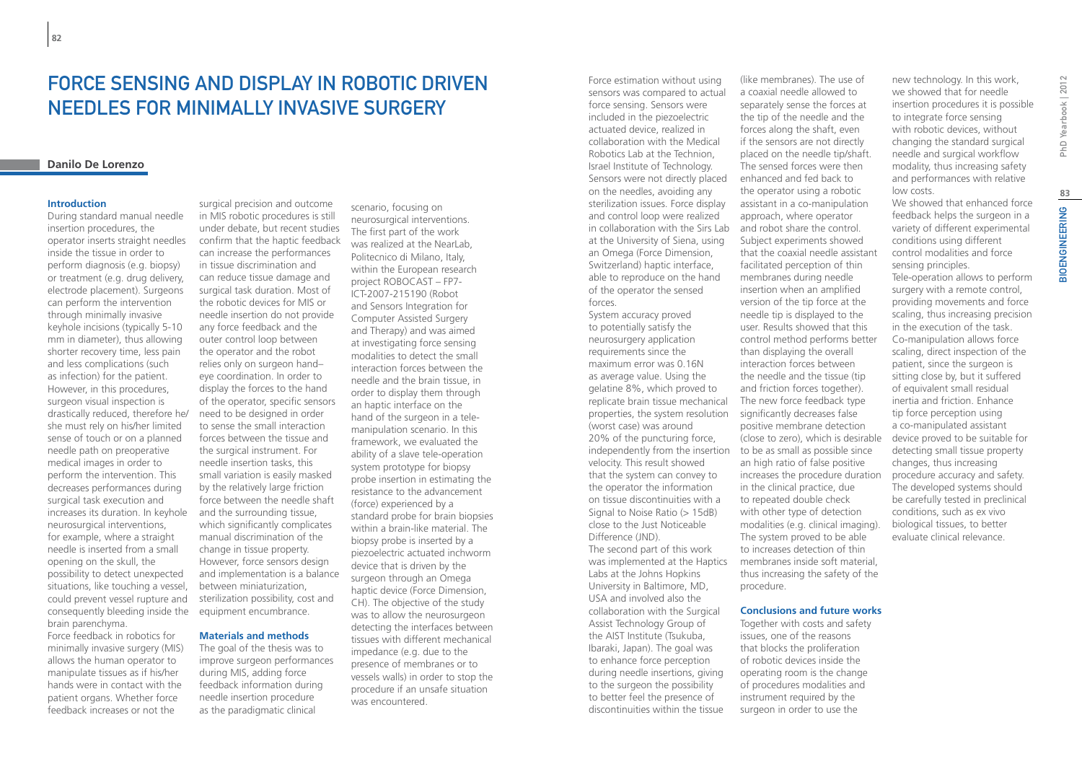## Force sensing and display in robotic driven needles for minimally invasive surgery

### **Danilo De Lorenzo**

#### **Introduction**

During standard manual needle insertion procedures, the operator inserts straight needles inside the tissue in order to perform diagnosis (e.g. biopsy) or treatment (e.g. drug delivery, electrode placement). Surgeons can perform the intervention through minimally invasive keyhole incisions (typically 5-10 mm in diameter), thus allowing shorter recovery time, less pain and less complications (such as infection) for the patient. However, in this procedures, surgeon visual inspection is drastically reduced, therefore he/ she must rely on his/her limited sense of touch or on a planned needle path on preoperative medical images in order to perform the intervention. This decreases performances during surgical task execution and increases its duration. In keyhole neurosurgical interventions, for example, where a straight needle is inserted from a small opening on the skull, the possibility to detect unexpected situations, like touching a vessel, could prevent vessel rupture and consequently bleeding inside the brain parenchyma.

Force feedback in robotics for minimally invasive surgery (MIS) allows the human operator to manipulate tissues as if his/her hands were in contact with the patient organs. Whether force feedback increases or not the

surgical precision and outcome in MIS robotic procedures is still under debate, but recent studies confirm that the haptic feedback can increase the performances in tissue discrimination and can reduce tissue damage and surgical task duration. Most of the robotic devices for MIS or needle insertion do not provide any force feedback and the outer control loop between the operator and the robot relies only on surgeon hand– eye coordination. In order to display the forces to the hand of the operator, specific sensors need to be designed in order to sense the small interaction forces between the tissue and the surgical instrument. For needle insertion tasks, this small variation is easily masked by the relatively large friction force between the needle shaft and the surrounding tissue, which significantly complicates manual discrimination of the change in tissue property. However, force sensors design and implementation is a balance between miniaturization, sterilization possibility, cost and equipment encumbrance.

### **Materials and methods**

The goal of the thesis was to improve surgeon performances during MIS, adding force feedback information during needle insertion procedure as the paradigmatic clinical

scenario, focusing on neurosurgical interventions. The first part of the work was realized at the NearLab, Politecnico di Milano, Italy, within the European research project ROBOCAST – FP7- ICT-2007-215190 (Robot and Sensors Integration for Computer Assisted Surgery and Therapy) and was aimed at investigating force sensing modalities to detect the small interaction forces between the needle and the brain tissue, in order to display them through an haptic interface on the hand of the surgeon in a telemanipulation scenario. In this framework, we evaluated the ability of a slave tele-operation system prototype for biopsy probe insertion in estimating the resistance to the advancement (force) experienced by a standard probe for brain biopsies within a brain-like material. The biopsy probe is inserted by a piezoelectric actuated inchworm device that is driven by the surgeon through an Omega haptic device (Force Dimension, CH). The objective of the study was to allow the neurosurgeon detecting the interfaces between tissues with different mechanical impedance (e.g. due to the presence of membranes or to vessels walls) in order to stop the procedure if an unsafe situation was encountered.

Force estimation without using sensors was compared to actual force sensing. Sensors were included in the piezoelectric actuated device, realized in collaboration with the Medical Robotics Lab at the Technion, Israel Institute of Technology. Sensors were not directly placed on the needles, avoiding any sterilization issues. Force display and control loop were realized in collaboration with the Sirs Lab and robot share the control. at the University of Siena, using an Omega (Force Dimension, Switzerland) haptic interface, able to reproduce on the hand of the operator the sensed forces.

System accuracy proved to potentially satisfy the neurosurgery application requirements since the maximum error was 0.16N as average value. Using the gelatine 8%, which proved to replicate brain tissue mechanical properties, the system resolution (worst case) was around 20% of the puncturing force, independently from the insertion to be as small as possible since velocity. This result showed that the system can convey to the operator the information on tissue discontinuities with a Signal to Noise Ratio (> 15dB) close to the Just Noticeable Difference (JND). The second part of this work was implemented at the Haptics Labs at the Johns Hopkins University in Baltimore, MD, USA and involved also the collaboration with the Surgical Assist Technology Group of the AIST Institute (Tsukuba, Ibaraki, Japan). The goal was to enhance force perception during needle insertions, giving to the surgeon the possibility

to better feel the presence of discontinuities within the tissue

(like membranes). The use of a coaxial needle allowed to separately sense the forces at the tip of the needle and the forces along the shaft, even if the sensors are not directly placed on the needle tip/shaft. The sensed forces were then enhanced and fed back to the operator using a robotic assistant in a co-manipulation approach, where operator Subject experiments showed that the coaxial needle assistant facilitated perception of thin membranes during needle insertion when an amplified version of the tip force at the needle tip is displayed to the user. Results showed that this control method performs better than displaying the overall interaction forces between the needle and the tissue (tip and friction forces together). The new force feedback type significantly decreases false positive membrane detection (close to zero), which is desirable an high ratio of false positive increases the procedure duration in the clinical practice, due to repeated double check with other type of detection modalities (e.g. clinical imaging). The system proved to be able to increases detection of thin membranes inside soft material, thus increasing the safety of the procedure.

#### **Conclusions and future works**

Together with costs and safety issues, one of the reasons that blocks the proliferation of robotic devices inside the operating room is the change of procedures modalities and instrument required by the surgeon in order to use the

new technology. In this work, we showed that for needle insertion procedures it is possible to integrate force sensing with robotic devices, without changing the standard surgical needle and surgical workflow modality, thus increasing safety and performances with relative low costs.

We showed that enhanced force feedback helps the surgeon in a variety of different experimental conditions using different control modalities and force sensing principles. Tele-operation allows to perform surgery with a remote control, providing movements and force scaling, thus increasing precision in the execution of the task. Co-manipulation allows force scaling, direct inspection of the patient, since the surgeon is sitting close by, but it suffered of equivalent small residual inertia and friction. Enhance tip force perception using a co-manipulated assistant device proved to be suitable for detecting small tissue property changes, thus increasing procedure accuracy and safety. The developed systems should be carefully tested in preclinical conditions, such as ex vivo biological tissues, to better evaluate clinical relevance.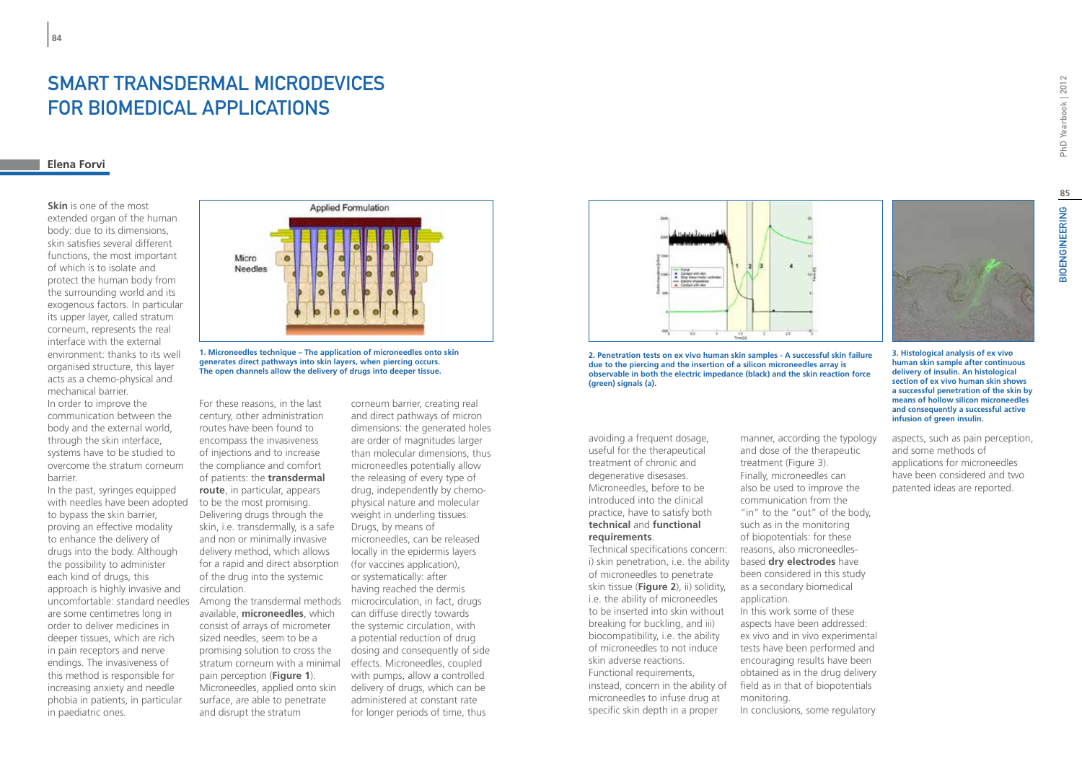## Smart transdermal microdevices FOR BIOMEDICAL APPLICATIONS

### **Elena Forvi**

**84**

**Skin** is one of the most extended organ of the human body: due to its dimensions, skin satisfies several different functions, the most important of which is to isolate and protect the human body from the surrounding world and its exogenous factors. In particular its upper layer, called stratum corneum, represents the real interface with the external environment: thanks to its well organised structure, this layer acts as a chemo-physical and mechanical barrier. In order to improve the

communication between the body and the external world, through the skin interface, systems have to be studied to overcome the stratum corneum barrier.

In the past, syringes equipped with needles have been adopted to bypass the skin barrier, proving an effective modality to enhance the delivery of drugs into the body. Although the possibility to administer each kind of drugs, this approach is highly invasive and uncomfortable: standard needles are some centimetres long in order to deliver medicines in deeper tissues, which are rich in pain receptors and nerve endings. The invasiveness of this method is responsible for increasing anxiety and needle phobia in patients, in particular in paediatric ones.



**1. Microneedles technique – The application of microneedles onto skin generates direct pathways into skin layers, when piercing occurs. The open channels allow the delivery of drugs into deeper tissue.**

For these reasons, in the last century, other administration routes have been found to encompass the invasiveness of injections and to increase the compliance and comfort of patients: the **transdermal route**, in particular, appears to be the most promising. Delivering drugs through the skin, i.e. transdermally, is a safe and non or minimally invasive delivery method, which allows for a rapid and direct absorption of the drug into the systemic circulation.

Among the transdermal methods available, **microneedles**, which consist of arrays of micrometer sized needles, seem to be a promising solution to cross the stratum corneum with a minimal effects. Microneedles, coupled pain perception (**Figure 1**). Microneedles, applied onto skin surface, are able to penetrate and disrupt the stratum

corneum barrier, creating real and direct pathways of micron dimensions: the generated holes are order of magnitudes larger than molecular dimensions, thus microneedles potentially allow the releasing of every type of drug, independently by chemophysical nature and molecular weight in underling tissues. Drugs, by means of microneedles, can be released locally in the epidermis layers (for vaccines application), or systematically: after having reached the dermis microcirculation, in fact, drugs can diffuse directly towards the systemic circulation, with a potential reduction of drug dosing and consequently of side with pumps, allow a controlled delivery of drugs, which can be administered at constant rate for longer periods of time, thus



**2. Penetration tests on ex vivo human skin samples - A successful skin failure due to the piercing and the insertion of a silicon microneedles array is observable in both the electric impedance (black) and the skin reaction force (green) signals (a).**

avoiding a frequent dosage, useful for the therapeutical treatment of chronic and degenerative disesases. Microneedles, before to be introduced into the clinical practice, have to satisfy both **technical** and **functional requirements**.

Technical specifications concern: i) skin penetration, i.e. the ability of microneedles to penetrate skin tissue (**Figure 2**), ii) solidity, i.e. the ability of microneedles to be inserted into skin without breaking for buckling, and iii) biocompatibility, i.e. the ability of microneedles to not induce skin adverse reactions. Functional requirements, instead, concern in the ability of microneedles to infuse drug at specific skin depth in a proper

manner, according the typology and dose of the therapeutic treatment (Figure 3). Finally, microneedles can also be used to improve the communication from the "in" to the "out" of the body, such as in the monitoring of biopotentials: for these reasons, also microneedlesbased **dry electrodes** have been considered in this study as a secondary biomedical application. In this work some of these aspects have been addressed: ex vivo and in vivo experimental tests have been performed and encouraging results have been obtained as in the drug delivery field as in that of biopotentials monitoring.

In conclusions, some regulatory

PhD Yearbook | 2012

**3. Histological analysis of ex vivo human skin sample after continuous delivery of insulin. An histological section of ex vivo human skin shows a successful penetration of the skin by means of hollow silicon microneedles and consequently a successful active infusion of green insulin.**

aspects, such as pain perception, and some methods of applications for microneedles have been considered and two patented ideas are reported.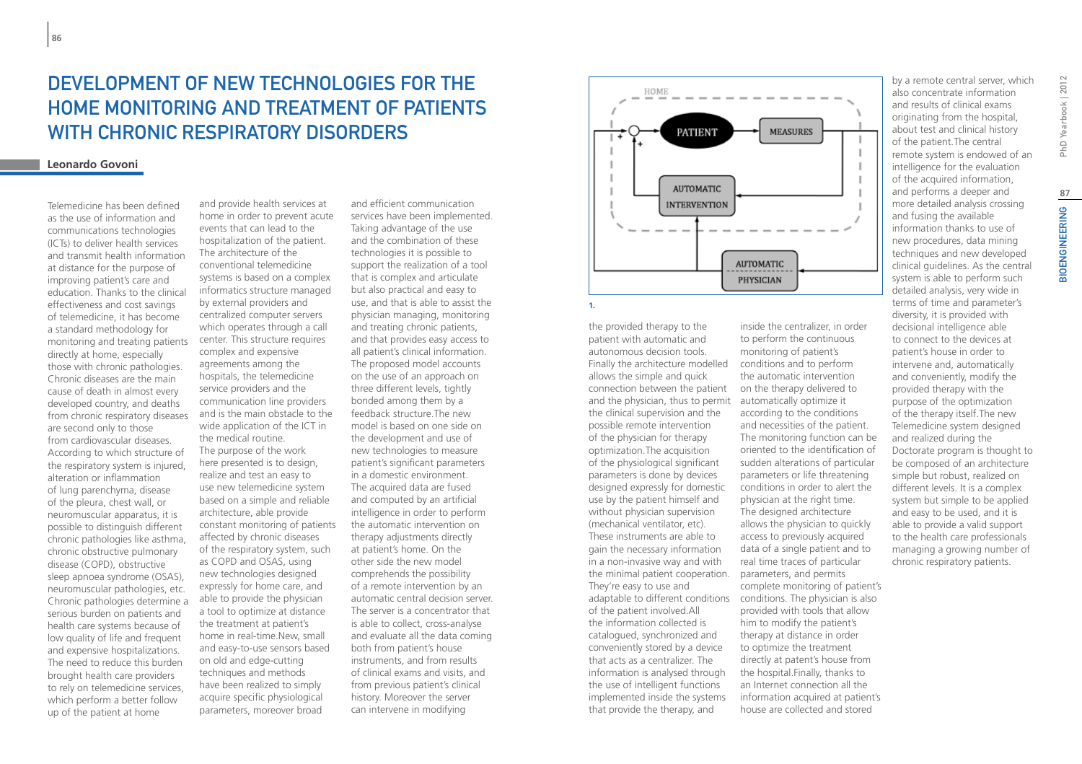# DEVELOPMENT OF NEW TECHNOLOGIES FOR THE home monitoring and treatment of patients with chronic respiratory disorders

### **Leonardo Govoni**

Telemedicine has been defined as the use of information and communications technologies (ICTs) to deliver health services and transmit health information at distance for the purpose of improving patient's care and education. Thanks to the clinical effectiveness and cost savings of telemedicine, it has become a standard methodology for monitoring and treating patients directly at home, especially those with chronic pathologies. Chronic diseases are the main cause of death in almost every developed country, and deaths from chronic respiratory diseases are second only to those from cardiovascular diseases. According to which structure of the respiratory system is injured, alteration or inflammation of lung parenchyma, disease of the pleura, chest wall, or neuromuscular apparatus, it is possible to distinguish different chronic pathologies like asthma, chronic obstructive pulmonary disease (COPD), obstructive sleep apnoea syndrome (OSAS), neuromuscular pathologies, etc. Chronic pathologies determine a serious burden on patients and health care systems because of low quality of life and frequent and expensive hospitalizations. The need to reduce this burden brought health care providers to rely on telemedicine services, which perform a better follow up of the patient at home

and provide health services at home in order to prevent acute events that can lead to the hospitalization of the patient. The architecture of the conventional telemedicine systems is based on a complex informatics structure managed by external providers and centralized computer servers which operates through a call center. This structure requires complex and expensive agreements among the hospitals, the telemedicine service providers and the communication line providers and is the main obstacle to the wide application of the ICT in the medical routine. The purpose of the work here presented is to design, realize and test an easy to use new telemedicine system based on a simple and reliable architecture, able provide constant monitoring of patients affected by chronic diseases of the respiratory system, such as COPD and OSAS, using new technologies designed expressly for home care, and able to provide the physician a tool to optimize at distance the treatment at patient's home in real-time.New, small and easy-to-use sensors based on old and edge-cutting techniques and methods have been realized to simply acquire specific physiological parameters, moreover broad

and efficient communication services have been implemented. Taking advantage of the use and the combination of these technologies it is possible to support the realization of a tool that is complex and articulate but also practical and easy to use, and that is able to assist the physician managing, monitoring and treating chronic patients, and that provides easy access to all patient's clinical information. The proposed model accounts on the use of an approach on three different levels, tightly bonded among them by a feedback structure.The new model is based on one side on the development and use of new technologies to measure patient's significant parameters in a domestic environment. The acquired data are fused and computed by an artificial intelligence in order to perform the automatic intervention on therapy adjustments directly at patient's home. On the other side the new model comprehends the possibility of a remote intervention by an automatic central decision server. The server is a concentrator that is able to collect, cross-analyse and evaluate all the data coming both from patient's house instruments, and from results of clinical exams and visits, and from previous patient's clinical history. Moreover the server can intervene in modifying



the provided therapy to the patient with automatic and autonomous decision tools. Finally the architecture modelled allows the simple and quick connection between the patient and the physician, thus to permit automatically optimize it the clinical supervision and the possible remote intervention of the physician for therapy optimization.The acquisition of the physiological significant parameters is done by devices designed expressly for domestic use by the patient himself and without physician supervision (mechanical ventilator, etc). These instruments are able to gain the necessary information in a non-invasive way and with the minimal patient cooperation. parameters, and permits They're easy to use and of the patient involved.All the information collected is catalogued, synchronized and conveniently stored by a device that acts as a centralizer. The information is analysed through the use of intelligent functions implemented inside the systems that provide the therapy, and

adaptable to different conditions conditions. The physician is also inside the centralizer, in order to perform the continuous monitoring of patient's conditions and to perform the automatic intervention on the therapy delivered to according to the conditions and necessities of the patient. The monitoring function can be oriented to the identification of sudden alterations of particular parameters or life threatening conditions in order to alert the physician at the right time. The designed architecture allows the physician to quickly access to previously acquired data of a single patient and to real time traces of particular complete monitoring of patient's provided with tools that allow him to modify the patient's therapy at distance in order to optimize the treatment directly at patent's house from the hospital.Finally, thanks to an Internet connection all the information acquired at patient's house are collected and stored

by a remote central server, which also concentrate information and results of clinical exams originating from the hospital, about test and clinical history of the patient.The central remote system is endowed of an intelligence for the evaluation of the acquired information, and performs a deeper and more detailed analysis crossing and fusing the available information thanks to use of new procedures, data mining techniques and new developed clinical guidelines. As the central system is able to perform such detailed analysis, very wide in terms of time and parameter's diversity, it is provided with decisional intelligence able to connect to the devices at patient's house in order to intervene and, automatically and conveniently, modify the provided therapy with the purpose of the optimization of the therapy itself.The new Telemedicine system designed and realized during the Doctorate program is thought to be composed of an architecture simple but robust, realized on different levels. It is a complex system but simple to be applied and easy to be used, and it is able to provide a valid support to the health care professionals managing a growing number of chronic respiratory patients.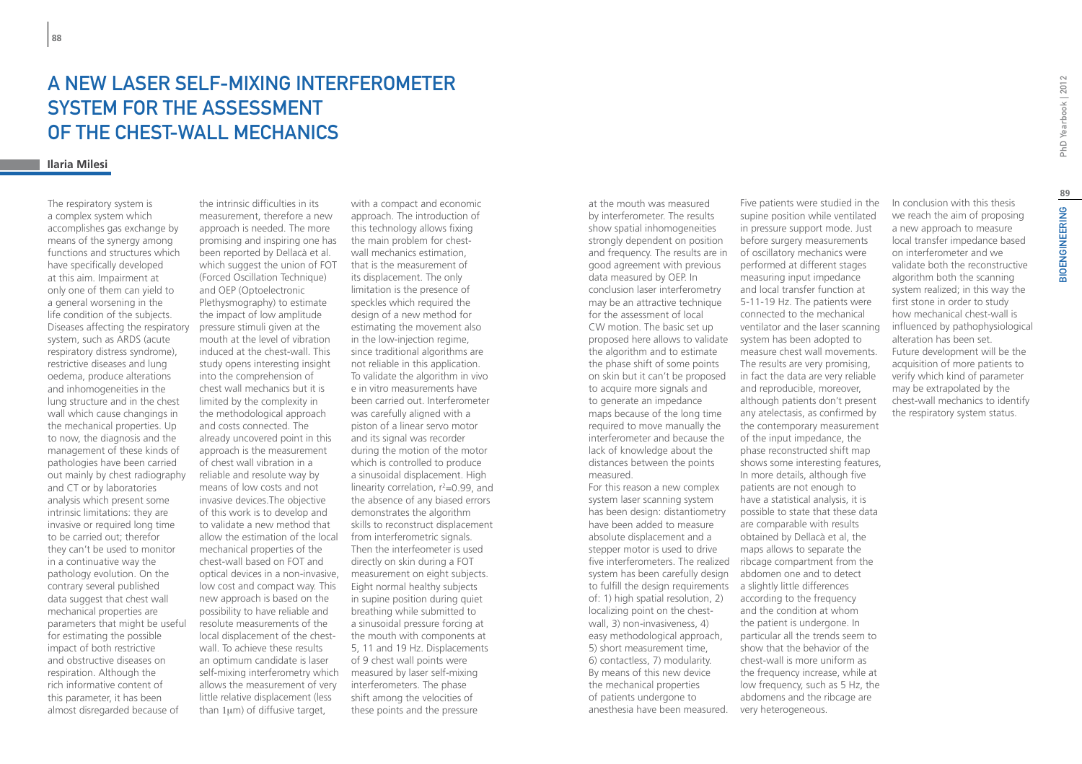## A new laser self-mixing interferometer system for the assessment of the chest-wall mechanics

### **Ilaria Milesi**

The respiratory system is a complex system which accomplishes gas exchange by means of the synergy among functions and structures which have specifically developed at this aim. Impairment at only one of them can yield to a general worsening in the life condition of the subjects. Diseases affecting the respiratory system, such as ARDS (acute respiratory distress syndrome), restrictive diseases and lung oedema, produce alterations and inhomogeneities in the lung structure and in the chest wall which cause changings in the mechanical properties. Up to now, the diagnosis and the management of these kinds of pathologies have been carried out mainly by chest radiography and CT or by laboratories analysis which present some intrinsic limitations: they are invasive or required long time to be carried out; therefor they can't be used to monitor in a continuative way the pathology evolution. On the contrary several published data suggest that chest wall mechanical properties are parameters that might be useful for estimating the possible impact of both restrictive and obstructive diseases on respiration. Although the rich informative content of this parameter, it has been almost disregarded because of

the intrinsic difficulties in its measurement, therefore a new approach is needed. The more promising and inspiring one has been reported by Dellacà et al. which suggest the union of FOT (Forced Oscillation Technique) and OEP (Optoelectronic Plethysmography) to estimate the impact of low amplitude pressure stimuli given at the mouth at the level of vibration induced at the chest-wall. This study opens interesting insight into the comprehension of chest wall mechanics but it is limited by the complexity in the methodological approach and costs connected. The already uncovered point in this approach is the measurement of chest wall vibration in a reliable and resolute way by means of low costs and not invasive devices.The objective of this work is to develop and to validate a new method that allow the estimation of the local mechanical properties of the chest-wall based on FOT and optical devices in a non-invasive, low cost and compact way. This new approach is based on the possibility to have reliable and resolute measurements of the local displacement of the chestwall. To achieve these results an optimum candidate is laser self-mixing interferometry which allows the measurement of very little relative displacement (less than 1um) of diffusive target.

with a compact and economic approach. The introduction of this technology allows fixing the main problem for chestwall mechanics estimation, that is the measurement of its displacement. The only limitation is the presence of speckles which required the design of a new method for estimating the movement also in the low-injection regime, since traditional algorithms are not reliable in this application. To validate the algorithm in vivo e in vitro measurements have been carried out. Interferometer was carefully aligned with a piston of a linear servo motor and its signal was recorder during the motion of the motor which is controlled to produce a sinusoidal displacement. High linearity correlation, r<sup>2</sup>=0.99, and the absence of any biased errors demonstrates the algorithm skills to reconstruct displacement from interferometric signals. Then the interfeometer is used directly on skin during a FOT measurement on eight subjects. Eight normal healthy subjects in supine position during quiet breathing while submitted to a sinusoidal pressure forcing at the mouth with components at 5, 11 and 19 Hz. Displacements of 9 chest wall points were measured by laser self-mixing interferometers. The phase shift among the velocities of these points and the pressure

at the mouth was measured by interferometer. The results show spatial inhomogeneities strongly dependent on position and frequency. The results are in good agreement with previous data measured by OEP. In conclusion laser interferometry may be an attractive technique for the assessment of local CW motion. The basic set up proposed here allows to validate the algorithm and to estimate the phase shift of some points on skin but it can't be proposed to acquire more signals and to generate an impedance maps because of the long time required to move manually the interferometer and because the lack of knowledge about the distances between the points measured. For this reason a new complex system laser scanning system has been design: distantiometry have been added to measure

absolute displacement and a stepper motor is used to drive five interferometers. The realized ribcage compartment from the system has been carefully design to fulfill the design requirements a slightly little differences of: 1) high spatial resolution, 2) localizing point on the chestwall, 3) non-invasiveness, 4) easy methodological approach, 5) short measurement time, 6) contactless, 7) modularity. By means of this new device the mechanical properties of patients undergone to anesthesia have been measured.

Five patients were studied in the supine position while ventilated in pressure support mode. Just before surgery measurements of oscillatory mechanics were performed at different stages measuring input impedance and local transfer function at 5-11-19 Hz. The patients were connected to the mechanical ventilator and the laser scanning system has been adopted to measure chest wall movements. The results are very promising, in fact the data are very reliable and reproducible, moreover, although patients don't present any atelectasis, as confirmed by the contemporary measurement of the input impedance, the phase reconstructed shift map shows some interesting features, In more details, although five patients are not enough to have a statistical analysis, it is possible to state that these data are comparable with results obtained by Dellacà et al, the maps allows to separate the abdomen one and to detect according to the frequency and the condition at whom the patient is undergone. In particular all the trends seem to show that the behavior of the chest-wall is more uniform as the frequency increase, while at

low frequency, such as 5 Hz, the abdomens and the ribcage are

very heterogeneous.

In conclusion with this thesis we reach the aim of proposing a new approach to measure local transfer impedance based on interferometer and we validate both the reconstructive algorithm both the scanning system realized; in this way the first stone in order to study how mechanical chest-wall is influenced by pathophysiological alteration has been set. Future development will be the acquisition of more patients to verify which kind of parameter may be extrapolated by the chest-wall mechanics to identify the respiratory system status.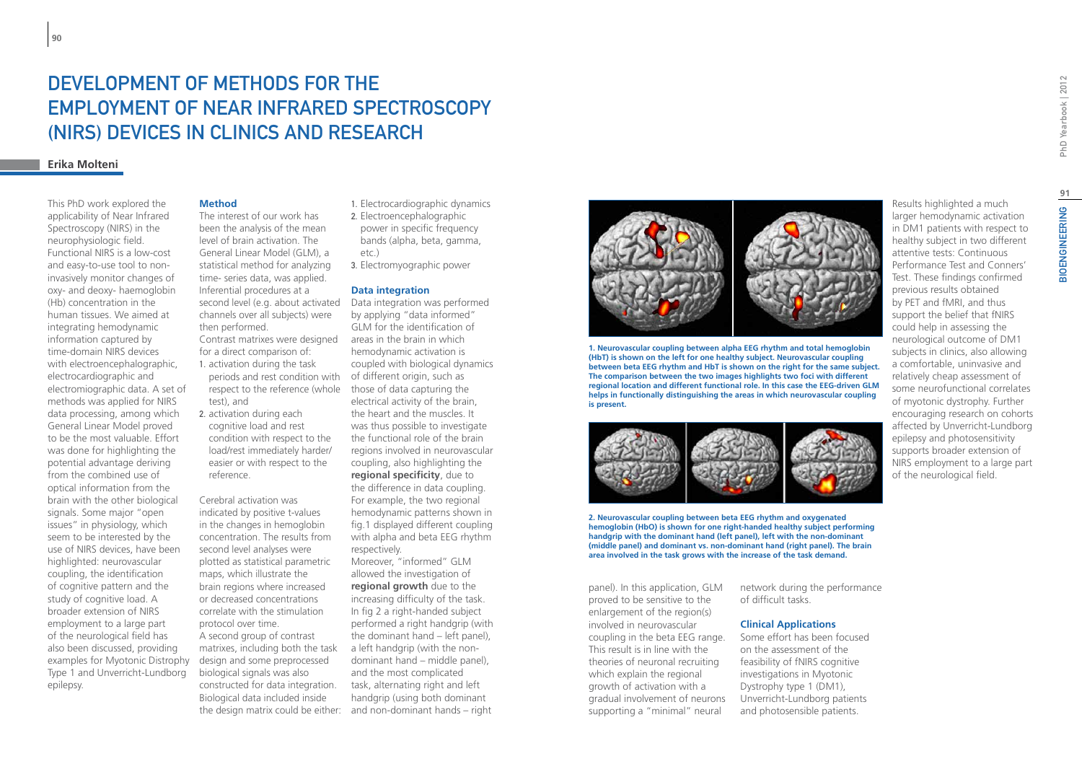# DEVELOPMENT OF METHODS FOR THE employment of Near Infrared Spectroscopy (NIRS) devices in clinics and research

### **Erika Molteni**

This PhD work explored the applicability of Near Infrared Spectroscopy (NIRS) in the neurophysiologic field. Functional NIRS is a low-cost and easy-to-use tool to noninvasively monitor changes of oxy- and deoxy- haemoglobin (Hb) concentration in the human tissues. We aimed at integrating hemodynamic information captured by time-domain NIRS devices with electroencephalographic, electrocardiographic and electromiographic data. A set of methods was applied for NIRS data processing, among which General Linear Model proved to be the most valuable. Effort was done for highlighting the potential advantage deriving from the combined use of optical information from the brain with the other biological signals. Some major "open issues" in physiology, which seem to be interested by the use of NIRS devices, have been highlighted: neurovascular coupling, the identification of cognitive pattern and the study of cognitive load. A broader extension of NIRS employment to a large part of the neurological field has also been discussed, providing examples for Myotonic Distrophy Type 1 and Unverricht-Lundborg epilepsy.

### **Method**

The interest of our work has been the analysis of the mean level of brain activation. The General Linear Model (GLM), a statistical method for analyzing time- series data, was applied. Inferential procedures at a second level (e.g. about activated channels over all subjects) were then performed. Contrast matrixes were designed for a direct comparison of: 1. activation during the task periods and rest condition with respect to the reference (whole test), and

2. activation during each cognitive load and rest condition with respect to the load/rest immediately harder/ easier or with respect to the reference.

Cerebral activation was indicated by positive t-values in the changes in hemoglobin concentration. The results from second level analyses were plotted as statistical parametric maps, which illustrate the brain regions where increased or decreased concentrations correlate with the stimulation protocol over time. A second group of contrast matrixes, including both the task design and some preprocessed biological signals was also constructed for data integration. Biological data included inside

- 1. Electrocardiographic dynamics
- 2. Electroencephalographic power in specific frequency bands (alpha, beta, gamma, etc.)
- 3. Electromyographic power

#### **Data integration**

Data integration was performed by applying "data informed" GLM for the identification of areas in the brain in which hemodynamic activation is coupled with biological dynamics of different origin, such as those of data capturing the electrical activity of the brain, the heart and the muscles. It was thus possible to investigate the functional role of the brain regions involved in neurovascular coupling, also highlighting the **regional specificity**, due to the difference in data coupling. For example, the two regional hemodynamic patterns shown in fig.1 displayed different coupling with alpha and beta EEG rhythm respectively.

the design matrix could be either: and non-dominant hands – right Moreover, "informed" GLM allowed the investigation of **regional growth** due to the increasing difficulty of the task. In fig 2 a right-handed subject performed a right handgrip (with the dominant hand – left panel), a left handgrip (with the nondominant hand – middle panel), and the most complicated task, alternating right and left handgrip (using both dominant



**1. Neurovascular coupling between alpha EEG rhythm and total hemoglobin (HbT) is shown on the left for one healthy subject. Neurovascular coupling between beta EEG rhythm and HbT is shown on the right for the same subject. The comparison between the two images highlights two foci with different regional location and different functional role. In this case the EEG-driven GLM helps in functionally distinguishing the areas in which neurovascular coupling is present.**



**2. Neurovascular coupling between beta EEG rhythm and oxygenated hemoglobin (HbO) is shown for one right-handed healthy subject performing handgrip with the dominant hand (left panel), left with the non-dominant (middle panel) and dominant vs. non-dominant hand (right panel). The brain area involved in the task grows with the increase of the task demand.**

panel). In this application, GLM proved to be sensitive to the enlargement of the region(s) involved in neurovascular coupling in the beta EEG range. This result is in line with the theories of neuronal recruiting which explain the regional growth of activation with a gradual involvement of neurons supporting a "minimal" neural

network during the performance of difficult tasks.

#### **Clinical Applications**

Some effort has been focused on the assessment of the feasibility of fNIRS cognitive investigations in Myotonic Dystrophy type 1 (DM1), Unverricht-Lundborg patients and photosensible patients.

Results highlighted a much larger hemodynamic activation in DM1 patients with respect to healthy subject in two different attentive tests: Continuous Performance Test and Conners' Test. These findings confirmed previous results obtained by PET and fMRI, and thus support the belief that fNIRS could help in assessing the neurological outcome of DM1 subjects in clinics, also allowing a comfortable, uninvasive and relatively cheap assessment of some neurofunctional correlates of myotonic dystrophy. Further encouraging research on cohorts affected by Unverricht-Lundborg epilepsy and photosensitivity supports broader extension of NIRS employment to a large part

of the neurological field.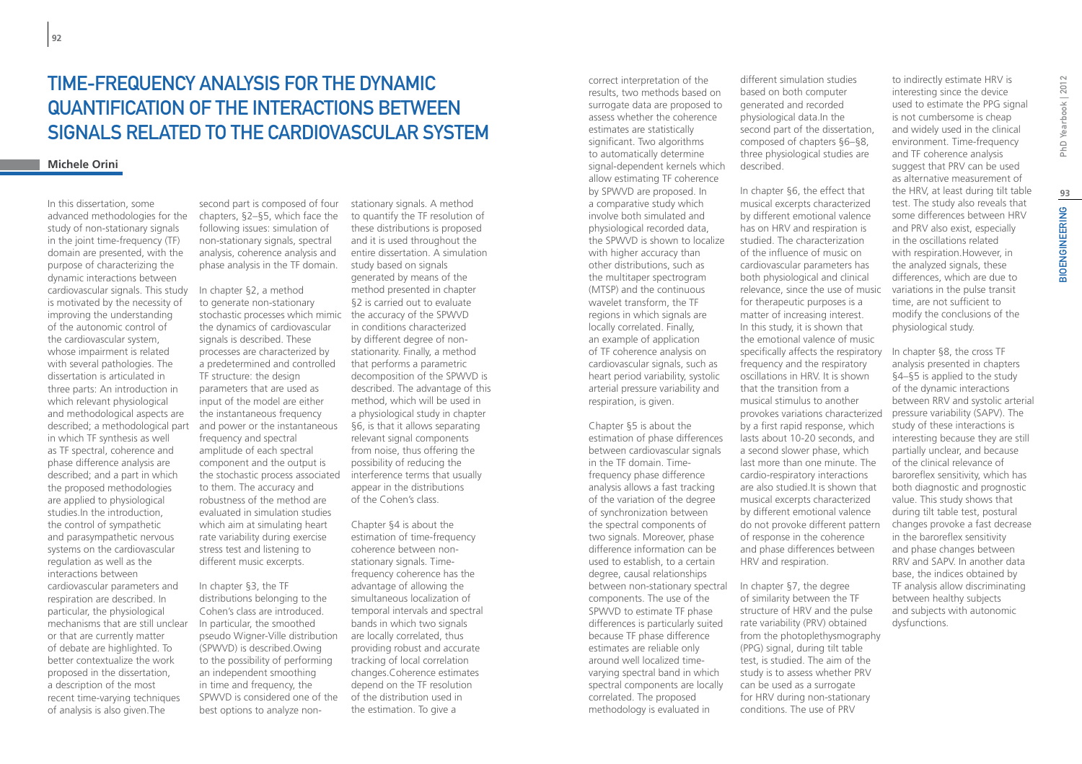# Time-frequency analysis for the dynamic quantification of the interactions between signals related to the cardiovascular system

#### **Michele Orini**

In this dissertation, some advanced methodologies for the study of non-stationary signals in the joint time-frequency (TF) domain are presented, with the purpose of characterizing the dynamic interactions between cardiovascular signals. This study is motivated by the necessity of improving the understanding of the autonomic control of the cardiovascular system, whose impairment is related with several pathologies. The dissertation is articulated in three parts: An introduction in which relevant physiological and methodological aspects are described; a methodological part in which TF synthesis as well as TF spectral, coherence and phase difference analysis are described; and a part in which the proposed methodologies are applied to physiological studies.In the introduction, the control of sympathetic and parasympathetic nervous systems on the cardiovascular regulation as well as the interactions between cardiovascular parameters and respiration are described. In particular, the physiological mechanisms that are still unclear or that are currently matter of debate are highlighted. To better contextualize the work proposed in the dissertation, a description of the most recent time-varying techniques of analysis is also given.The

second part is composed of four chapters, §2–§5, which face the following issues: simulation of non-stationary signals, spectral analysis, coherence analysis and phase analysis in the TF domain.

In chapter §2, a method to generate non-stationary stochastic processes which mimic the dynamics of cardiovascular signals is described. These processes are characterized by a predetermined and controlled TF structure: the design parameters that are used as input of the model are either the instantaneous frequency and power or the instantaneous frequency and spectral amplitude of each spectral component and the output is the stochastic process associated to them. The accuracy and robustness of the method are evaluated in simulation studies which aim at simulating heart rate variability during exercise stress test and listening to different music excerpts.

In chapter §3, the TF distributions belonging to the Cohen's class are introduced. In particular, the smoothed pseudo Wigner-Ville distribution (SPWVD) is described.Owing to the possibility of performing an independent smoothing in time and frequency, the SPWVD is considered one of the of the distribution used in best options to analyze non-

stationary signals. A method to quantify the TF resolution of these distributions is proposed and it is used throughout the entire dissertation. A simulation study based on signals generated by means of the method presented in chapter §2 is carried out to evaluate the accuracy of the SPWVD in conditions characterized by different degree of nonstationarity. Finally, a method that performs a parametric decomposition of the SPWVD is described. The advantage of this method, which will be used in a physiological study in chapter §6, is that it allows separating relevant signal components from noise, thus offering the possibility of reducing the interference terms that usually appear in the distributions of the Cohen's class.

Chapter §4 is about the estimation of time-frequency coherence between nonstationary signals. Timefrequency coherence has the advantage of allowing the simultaneous localization of temporal intervals and spectral bands in which two signals are locally correlated, thus providing robust and accurate tracking of local correlation changes.Coherence estimates depend on the TF resolution the estimation. To give a

correct interpretation of the results, two methods based on surrogate data are proposed to assess whether the coherence estimates are statistically significant. Two algorithms to automatically determine signal-dependent kernels which allow estimating TF coherence by SPWVD are proposed. In a comparative study which involve both simulated and physiological recorded data, the SPWVD is shown to localize with higher accuracy than other distributions, such as the multitaper spectrogram (MTSP) and the continuous wavelet transform, the TF regions in which signals are locally correlated. Finally, an example of application of TF coherence analysis on cardiovascular signals, such as heart period variability, systolic arterial pressure variability and respiration, is given.

Chapter §5 is about the estimation of phase differences between cardiovascular signals in the TF domain. Timefrequency phase difference analysis allows a fast tracking of the variation of the degree of synchronization between the spectral components of two signals. Moreover, phase difference information can be used to establish, to a certain degree, causal relationships between non-stationary spectral components. The use of the SPWVD to estimate TF phase differences is particularly suited because TF phase difference estimates are reliable only around well localized timevarying spectral band in which spectral components are locally correlated. The proposed methodology is evaluated in

different simulation studies based on both computer generated and recorded physiological data.In the second part of the dissertation, composed of chapters §6–§8, three physiological studies are described.

In chapter §6, the effect that musical excerpts characterized by different emotional valence has on HRV and respiration is studied. The characterization of the influence of music on cardiovascular parameters has both physiological and clinical relevance, since the use of music for therapeutic purposes is a matter of increasing interest. In this study, it is shown that the emotional valence of music specifically affects the respiratory frequency and the respiratory oscillations in HRV. It is shown that the transition from a musical stimulus to another provokes variations characterized by a first rapid response, which lasts about 10-20 seconds, and a second slower phase, which last more than one minute. The cardio-respiratory interactions are also studied.It is shown that musical excerpts characterized by different emotional valence do not provoke different pattern of response in the coherence and phase differences between HRV and respiration.

In chapter §7, the degree of similarity between the TF structure of HRV and the pulse rate variability (PRV) obtained from the photoplethysmography (PPG) signal, during tilt table test, is studied. The aim of the study is to assess whether PRV can be used as a surrogate for HRV during non-stationary conditions. The use of PRV

to indirectly estimate HRV is interesting since the device used to estimate the PPG signal is not cumbersome is cheap and widely used in the clinical environment. Time-frequency and TF coherence analysis suggest that PRV can be used as alternative measurement of the HRV, at least during tilt table test. The study also reveals that some differences between HRV and PRV also exist, especially in the oscillations related with respiration.However, in the analyzed signals, these differences, which are due to variations in the pulse transit time, are not sufficient to modify the conclusions of the physiological study.

In chapter §8, the cross TF analysis presented in chapters §4–§5 is applied to the study of the dynamic interactions between RRV and systolic arterial pressure variability (SAPV). The study of these interactions is interesting because they are still partially unclear, and because of the clinical relevance of baroreflex sensitivity, which has both diagnostic and prognostic value. This study shows that during tilt table test, postural changes provoke a fast decrease in the baroreflex sensitivity and phase changes between RRV and SAPV. In another data base, the indices obtained by TF analysis allow discriminating between healthy subjects and subjects with autonomic dysfunctions.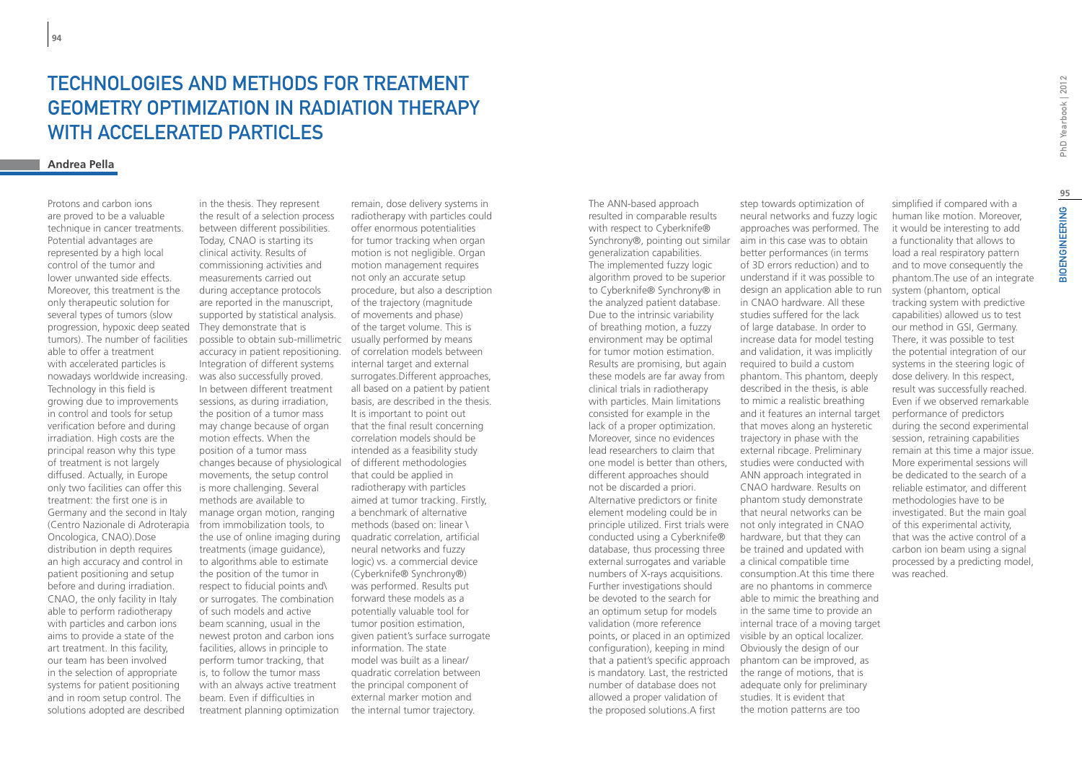## TECHNOLOGIES AND METHODS FOR TREATMENT geometry optimization in radiation therapy with accelerated particles

### **Andrea Pella**

Protons and carbon ions are proved to be a valuable technique in cancer treatments. Potential advantages are represented by a high local control of the tumor and lower unwanted side effects. Moreover, this treatment is the only therapeutic solution for several types of tumors (slow progression, hypoxic deep seated tumors). The number of facilities able to offer a treatment with accelerated particles is nowadays worldwide increasing. Technology in this field is growing due to improvements in control and tools for setup verification before and during irradiation. High costs are the principal reason why this type of treatment is not largely diffused. Actually, in Europe only two facilities can offer this treatment: the first one is in Germany and the second in Italy (Centro Nazionale di Adroterapia Oncologica, CNAO).Dose distribution in depth requires an high accuracy and control in patient positioning and setup before and during irradiation. CNAO, the only facility in Italy able to perform radiotherapy with particles and carbon ions aims to provide a state of the art treatment. In this facility, our team has been involved in the selection of appropriate systems for patient positioning and in room setup control. The solutions adopted are described

in the thesis. They represent the result of a selection process between different possibilities. Today, CNAO is starting its clinical activity. Results of commissioning activities and measurements carried out during acceptance protocols are reported in the manuscript, supported by statistical analysis. They demonstrate that is possible to obtain sub-millimetric usually performed by means accuracy in patient repositioning. Integration of different systems was also successfully proved. In between different treatment sessions, as during irradiation, the position of a tumor mass may change because of organ motion effects. When the position of a tumor mass changes because of physiological of different methodologies movements, the setup control is more challenging. Several methods are available to manage organ motion, ranging from immobilization tools, to the use of online imaging during quadratic correlation, artificial treatments (image guidance), to algorithms able to estimate the position of the tumor in respect to fiducial points and\ or surrogates. The combination of such models and active beam scanning, usual in the newest proton and carbon ions facilities, allows in principle to perform tumor tracking, that is, to follow the tumor mass with an always active treatment beam. Even if difficulties in treatment planning optimization

remain, dose delivery systems in radiotherapy with particles could offer enormous potentialities for tumor tracking when organ motion is not negligible. Organ motion management requires not only an accurate setup procedure, but also a description of the trajectory (magnitude of movements and phase) of the target volume. This is of correlation models between internal target and external surrogates.Different approaches, all based on a patient by patient basis, are described in the thesis. It is important to point out that the final result concerning correlation models should be intended as a feasibility study that could be applied in radiotherapy with particles aimed at tumor tracking. Firstly, a benchmark of alternative methods (based on: linear \ neural networks and fuzzy logic) vs. a commercial device (Cyberknife® Synchrony®) was performed. Results put forward these models as a potentially valuable tool for tumor position estimation, given patient's surface surrogate information. The state model was built as a linear/ quadratic correlation between the principal component of external marker motion and the internal tumor trajectory.

The ANN-based approach resulted in comparable results with respect to Cyberknife® Synchrony®, pointing out similar aim in this case was to obtain generalization capabilities. The implemented fuzzy logic algorithm proved to be superior to Cyberknife® Synchrony® in the analyzed patient database. Due to the intrinsic variability of breathing motion, a fuzzy environment may be optimal for tumor motion estimation. Results are promising, but again these models are far away from clinical trials in radiotherapy with particles. Main limitations consisted for example in the lack of a proper optimization. Moreover, since no evidences lead researchers to claim that one model is better than others, different approaches should not be discarded a priori. Alternative predictors or finite element modeling could be in principle utilized. First trials were not only integrated in CNAO conducted using a Cyberknife® database, thus processing three external surrogates and variable numbers of X-rays acquisitions. Further investigations should be devoted to the search for an optimum setup for models validation (more reference points, or placed in an optimized visible by an optical localizer. configuration), keeping in mind that a patient's specific approach is mandatory. Last, the restricted number of database does not allowed a proper validation of the proposed solutions.A first

step towards optimization of neural networks and fuzzy logic approaches was performed. The better performances (in terms of 3D errors reduction) and to understand if it was possible to design an application able to run in CNAO hardware. All these studies suffered for the lack of large database. In order to increase data for model testing and validation, it was implicitly required to build a custom phantom. This phantom, deeply described in the thesis, is able to mimic a realistic breathing and it features an internal target that moves along an hysteretic trajectory in phase with the external ribcage. Preliminary studies were conducted with ANN approach integrated in CNAO hardware. Results on phantom study demonstrate that neural networks can be hardware, but that they can be trained and updated with a clinical compatible time consumption.At this time there are no phantoms in commerce able to mimic the breathing and in the same time to provide an internal trace of a moving target Obviously the design of our phantom can be improved, as the range of motions, that is adequate only for preliminary studies. It is evident that the motion patterns are too

simplified if compared with a human like motion. Moreover, it would be interesting to add a functionality that allows to load a real respiratory pattern and to move consequently the phantom.The use of an integrate system (phantom, optical tracking system with predictive capabilities) allowed us to test our method in GSI, Germany. There, it was possible to test the potential integration of our systems in the steering logic of dose delivery. In this respect, result was successfully reached. Even if we observed remarkable performance of predictors during the second experimental session, retraining capabilities remain at this time a major issue. More experimental sessions will be dedicated to the search of a reliable estimator, and different methodologies have to be investigated. But the main goal of this experimental activity, that was the active control of a carbon ion beam using a signal processed by a predicting model, was reached.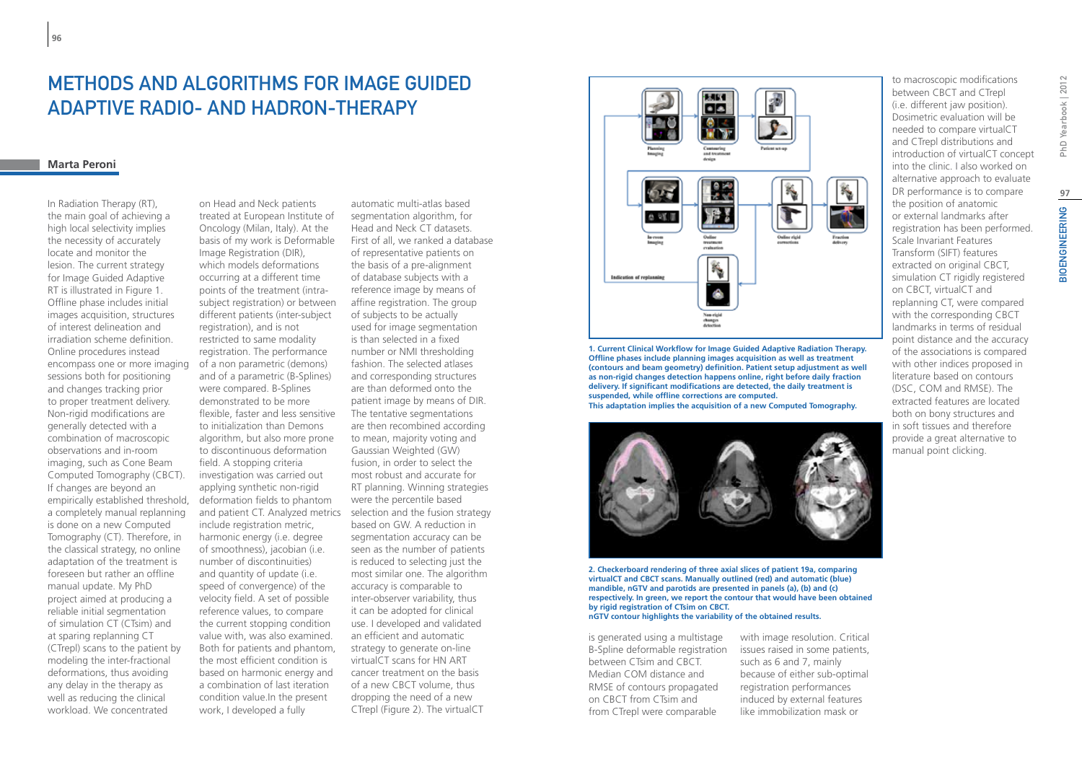## Methods and algorithms for Image Guided Adaptive Radio- and Hadron-Therapy

#### **Marta Peroni**

In Radiation Therapy (RT), the main goal of achieving a high local selectivity implies the necessity of accurately locate and monitor the lesion. The current strategy for Image Guided Adaptive RT is illustrated in Figure 1. Offline phase includes initial images acquisition, structures of interest delineation and irradiation scheme definition. Online procedures instead encompass one or more imaging sessions both for positioning and changes tracking prior to proper treatment delivery. Non-rigid modifications are generally detected with a combination of macroscopic observations and in-room imaging, such as Cone Beam Computed Tomography (CBCT). If changes are beyond an empirically established threshold, a completely manual replanning is done on a new Computed Tomography (CT). Therefore, in the classical strategy, no online adaptation of the treatment is foreseen but rather an offline manual update. My PhD project aimed at producing a reliable initial segmentation of simulation CT (CTsim) and at sparing replanning CT (CTrepl) scans to the patient by modeling the inter-fractional deformations, thus avoiding any delay in the therapy as well as reducing the clinical workload. We concentrated

on Head and Neck patients treated at European Institute of Oncology (Milan, Italy). At the basis of my work is Deformable Image Registration (DIR), which models deformations occurring at a different time points of the treatment (intrasubject registration) or between different patients (inter-subject registration), and is not restricted to same modality registration. The performance of a non parametric (demons) and of a parametric (B-Splines) were compared. B-Splines demonstrated to be more flexible, faster and less sensitive to initialization than Demons algorithm, but also more prone to discontinuous deformation field. A stopping criteria investigation was carried out applying synthetic non-rigid deformation fields to phantom and patient CT. Analyzed metrics selection and the fusion strategy include registration metric, harmonic energy (i.e. degree of smoothness), jacobian (i.e. number of discontinuities) and quantity of update (i.e. speed of convergence) of the velocity field. A set of possible reference values, to compare the current stopping condition value with, was also examined. Both for patients and phantom, the most efficient condition is based on harmonic energy and a combination of last iteration condition value.In the present work, I developed a fully

automatic multi-atlas based segmentation algorithm, for Head and Neck CT datasets. First of all, we ranked a database of representative patients on the basis of a pre-alignment of database subjects with a reference image by means of affine registration. The group of subjects to be actually used for image segmentation is than selected in a fixed number or NMI thresholding fashion. The selected atlases and corresponding structures are than deformed onto the patient image by means of DIR. The tentative segmentations are then recombined according to mean, majority voting and Gaussian Weighted (GW) fusion, in order to select the most robust and accurate for RT planning. Winning strategies were the percentile based based on GW. A reduction in segmentation accuracy can be seen as the number of patients is reduced to selecting just the most similar one. The algorithm accuracy is comparable to inter-observer variability, thus it can be adopted for clinical use. I developed and validated an efficient and automatic strategy to generate on-line virtualCT scans for HN ART cancer treatment on the basis of a new CBCT volume, thus dropping the need of a new CTrepl (Figure 2). The virtualCT



**1. Current Clinical Workflow for Image Guided Adaptive Radiation Therapy. Offline phases include planning images acquisition as well as treatment (contours and beam geometry) definition. Patient setup adjustment as well as non-rigid changes detection happens online, right before daily fraction delivery. If significant modifications are detected, the daily treatment is suspended, while offline corrections are computed. This adaptation implies the acquisition of a new Computed Tomography.**



**2. Checkerboard rendering of three axial slices of patient 19a, comparing virtualCT and CBCT scans. Manually outlined (red) and automatic (blue) mandible, nGTV and parotids are presented in panels (a), (b) and (c) respectively. In green, we report the contour that would have been obtained by rigid registration of CTsim on CBCT. nGTV contour highlights the variability of the obtained results.**

is generated using a multistage B-Spline deformable registration between CTsim and CBCT. Median COM distance and RMSE of contours propagated on CBCT from CTsim and from CTrepl were comparable

with image resolution. Critical issues raised in some patients, such as 6 and 7, mainly because of either sub-optimal registration performances induced by external features like immobilization mask or

to macroscopic modifications between CBCT and CTrepl (i.e. different jaw position). Dosimetric evaluation will be needed to compare virtualCT and CTrepl distributions and introduction of virtualCT concept into the clinic. I also worked on alternative approach to evaluate DR performance is to compare the position of anatomic or external landmarks after registration has been performed. Scale Invariant Features Transform (SIFT) features extracted on original CBCT, simulation CT rigidly registered on CBCT, virtualCT and replanning CT, were compared with the corresponding CBCT landmarks in terms of residual point distance and the accuracy of the associations is compared with other indices proposed in literature based on contours (DSC, COM and RMSE). The extracted features are located both on bony structures and in soft tissues and therefore provide a great alternative to manual point clicking.